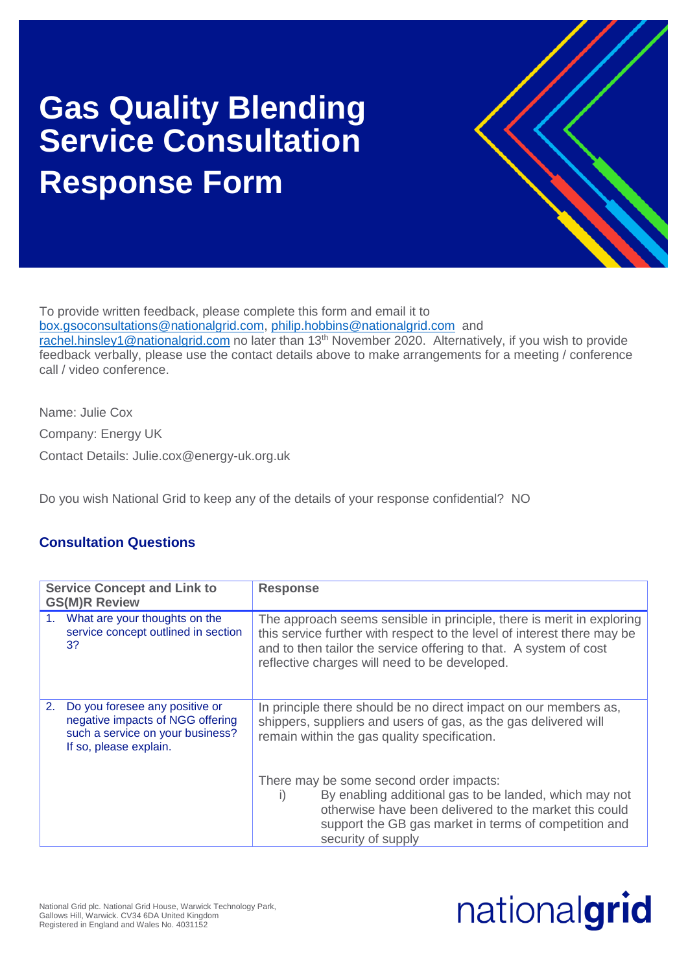## **Gas Quality Blending Service Consultation Response Form**



To provide written feedback, please complete this form and email it to [box.gsoconsultations@nationalgrid.com,](mailto:box.gsoconsultations@nationalgrid.com) [philip.hobbins@nationalgrid.com](mailto:philip.hobbins@nationalgrid.com) and

[rachel.hinsley1@nationalgrid.com](mailto:rachel.hinsley1@nationalgrid.com) no later than 13<sup>th</sup> November 2020. Alternatively, if you wish to provide feedback verbally, please use the contact details above to make arrangements for a meeting / conference call / video conference.

Name: Julie Cox Company: Energy UK Contact Details: Julie.cox@energy-uk.org.uk

Do you wish National Grid to keep any of the details of your response confidential? NO

## **Consultation Questions**

| <b>Service Concept and Link to</b><br><b>GS(M)R Review</b> |                                                                                                                                  | <b>Response</b>                                                                                                                                                                                                                                                        |
|------------------------------------------------------------|----------------------------------------------------------------------------------------------------------------------------------|------------------------------------------------------------------------------------------------------------------------------------------------------------------------------------------------------------------------------------------------------------------------|
| 3?                                                         | 1. What are your thoughts on the<br>service concept outlined in section                                                          | The approach seems sensible in principle, there is merit in exploring<br>this service further with respect to the level of interest there may be<br>and to then tailor the service offering to that. A system of cost<br>reflective charges will need to be developed. |
| 2.                                                         | Do you foresee any positive or<br>negative impacts of NGG offering<br>such a service on your business?<br>If so, please explain. | In principle there should be no direct impact on our members as,<br>shippers, suppliers and users of gas, as the gas delivered will<br>remain within the gas quality specification.                                                                                    |
|                                                            |                                                                                                                                  | There may be some second order impacts:<br>By enabling additional gas to be landed, which may not<br>$\vert$ )<br>otherwise have been delivered to the market this could<br>support the GB gas market in terms of competition and<br>security of supply                |

## nationalgrid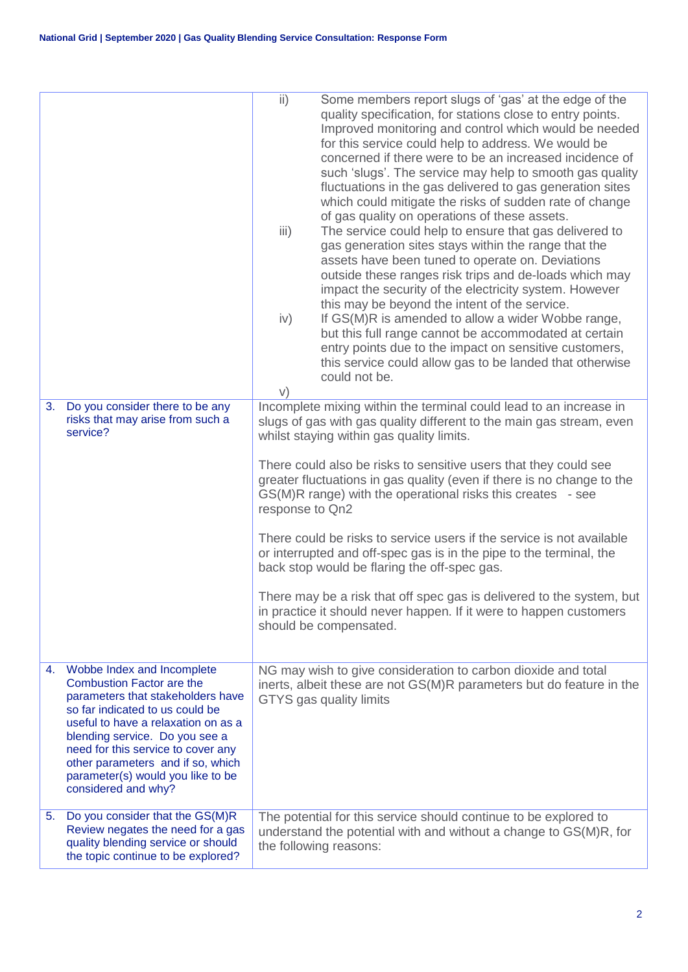|    |                                                                                                                                                                                                                                                                                                                                                        | $\mathsf{ii}$ )<br>Some members report slugs of 'gas' at the edge of the<br>quality specification, for stations close to entry points.<br>Improved monitoring and control which would be needed<br>for this service could help to address. We would be<br>concerned if there were to be an increased incidence of<br>such 'slugs'. The service may help to smooth gas quality<br>fluctuations in the gas delivered to gas generation sites<br>which could mitigate the risks of sudden rate of change<br>of gas quality on operations of these assets.<br>iii)<br>The service could help to ensure that gas delivered to<br>gas generation sites stays within the range that the<br>assets have been tuned to operate on. Deviations<br>outside these ranges risk trips and de-loads which may<br>impact the security of the electricity system. However<br>this may be beyond the intent of the service.<br>If GS(M)R is amended to allow a wider Wobbe range,<br>iv)<br>but this full range cannot be accommodated at certain<br>entry points due to the impact on sensitive customers,<br>this service could allow gas to be landed that otherwise<br>could not be.<br>V) |
|----|--------------------------------------------------------------------------------------------------------------------------------------------------------------------------------------------------------------------------------------------------------------------------------------------------------------------------------------------------------|------------------------------------------------------------------------------------------------------------------------------------------------------------------------------------------------------------------------------------------------------------------------------------------------------------------------------------------------------------------------------------------------------------------------------------------------------------------------------------------------------------------------------------------------------------------------------------------------------------------------------------------------------------------------------------------------------------------------------------------------------------------------------------------------------------------------------------------------------------------------------------------------------------------------------------------------------------------------------------------------------------------------------------------------------------------------------------------------------------------------------------------------------------------------------|
| 3. | Do you consider there to be any<br>risks that may arise from such a<br>service?                                                                                                                                                                                                                                                                        | Incomplete mixing within the terminal could lead to an increase in<br>slugs of gas with gas quality different to the main gas stream, even<br>whilst staying within gas quality limits.<br>There could also be risks to sensitive users that they could see<br>greater fluctuations in gas quality (even if there is no change to the<br>GS(M)R range) with the operational risks this creates - see<br>response to Qn2<br>There could be risks to service users if the service is not available<br>or interrupted and off-spec gas is in the pipe to the terminal, the<br>back stop would be flaring the off-spec gas.<br>There may be a risk that off spec gas is delivered to the system, but<br>in practice it should never happen. If it were to happen customers<br>should be compensated.                                                                                                                                                                                                                                                                                                                                                                             |
| 4. | Wobbe Index and Incomplete<br><b>Combustion Factor are the</b><br>parameters that stakeholders have<br>so far indicated to us could be<br>useful to have a relaxation on as a<br>blending service. Do you see a<br>need for this service to cover any<br>other parameters and if so, which<br>parameter(s) would you like to be<br>considered and why? | NG may wish to give consideration to carbon dioxide and total<br>inerts, albeit these are not GS(M)R parameters but do feature in the<br>GTYS gas quality limits                                                                                                                                                                                                                                                                                                                                                                                                                                                                                                                                                                                                                                                                                                                                                                                                                                                                                                                                                                                                             |
| 5. | Do you consider that the GS(M)R<br>Review negates the need for a gas<br>quality blending service or should<br>the topic continue to be explored?                                                                                                                                                                                                       | The potential for this service should continue to be explored to<br>understand the potential with and without a change to GS(M)R, for<br>the following reasons:                                                                                                                                                                                                                                                                                                                                                                                                                                                                                                                                                                                                                                                                                                                                                                                                                                                                                                                                                                                                              |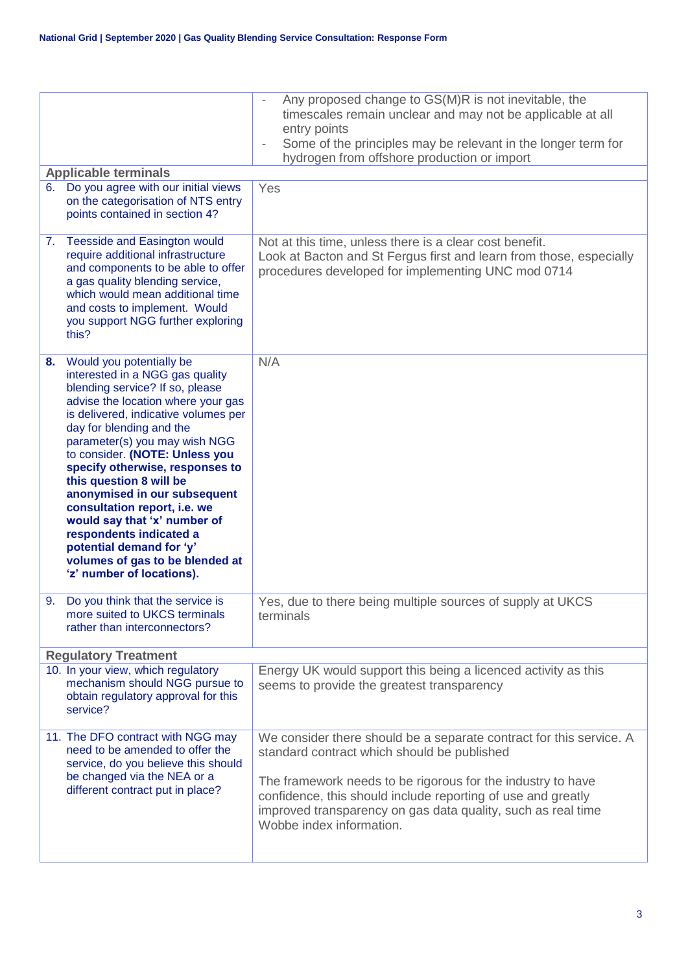|                                                                                                                                                                                                                                                                                                                                                                                                                                                                                                                                                                        | Any proposed change to GS(M)R is not inevitable, the<br>timescales remain unclear and may not be applicable at all<br>entry points<br>Some of the principles may be relevant in the longer term for<br>hydrogen from offshore production or import                                                                                            |
|------------------------------------------------------------------------------------------------------------------------------------------------------------------------------------------------------------------------------------------------------------------------------------------------------------------------------------------------------------------------------------------------------------------------------------------------------------------------------------------------------------------------------------------------------------------------|-----------------------------------------------------------------------------------------------------------------------------------------------------------------------------------------------------------------------------------------------------------------------------------------------------------------------------------------------|
| <b>Applicable terminals</b>                                                                                                                                                                                                                                                                                                                                                                                                                                                                                                                                            |                                                                                                                                                                                                                                                                                                                                               |
| Do you agree with our initial views<br>6.<br>on the categorisation of NTS entry<br>points contained in section 4?                                                                                                                                                                                                                                                                                                                                                                                                                                                      | Yes                                                                                                                                                                                                                                                                                                                                           |
| 7. Teesside and Easington would<br>require additional infrastructure<br>and components to be able to offer<br>a gas quality blending service,<br>which would mean additional time<br>and costs to implement. Would<br>you support NGG further exploring<br>this?                                                                                                                                                                                                                                                                                                       | Not at this time, unless there is a clear cost benefit.<br>Look at Bacton and St Fergus first and learn from those, especially<br>procedures developed for implementing UNC mod 0714                                                                                                                                                          |
| Would you potentially be<br>8.<br>interested in a NGG gas quality<br>blending service? If so, please<br>advise the location where your gas<br>is delivered, indicative volumes per<br>day for blending and the<br>parameter(s) you may wish NGG<br>to consider. (NOTE: Unless you<br>specify otherwise, responses to<br>this question 8 will be<br>anonymised in our subsequent<br>consultation report, i.e. we<br>would say that 'x' number of<br>respondents indicated a<br>potential demand for 'y'<br>volumes of gas to be blended at<br>'z' number of locations). | N/A                                                                                                                                                                                                                                                                                                                                           |
| 9. Do you think that the service is<br>more suited to UKCS terminals<br>rather than interconnectors?                                                                                                                                                                                                                                                                                                                                                                                                                                                                   | Yes, due to there being multiple sources of supply at UKCS<br>terminals                                                                                                                                                                                                                                                                       |
| <b>Regulatory Treatment</b>                                                                                                                                                                                                                                                                                                                                                                                                                                                                                                                                            |                                                                                                                                                                                                                                                                                                                                               |
| 10. In your view, which regulatory<br>mechanism should NGG pursue to<br>obtain regulatory approval for this<br>service?                                                                                                                                                                                                                                                                                                                                                                                                                                                | Energy UK would support this being a licenced activity as this<br>seems to provide the greatest transparency                                                                                                                                                                                                                                  |
| 11. The DFO contract with NGG may<br>need to be amended to offer the<br>service, do you believe this should<br>be changed via the NEA or a<br>different contract put in place?                                                                                                                                                                                                                                                                                                                                                                                         | We consider there should be a separate contract for this service. A<br>standard contract which should be published<br>The framework needs to be rigorous for the industry to have<br>confidence, this should include reporting of use and greatly<br>improved transparency on gas data quality, such as real time<br>Wobbe index information. |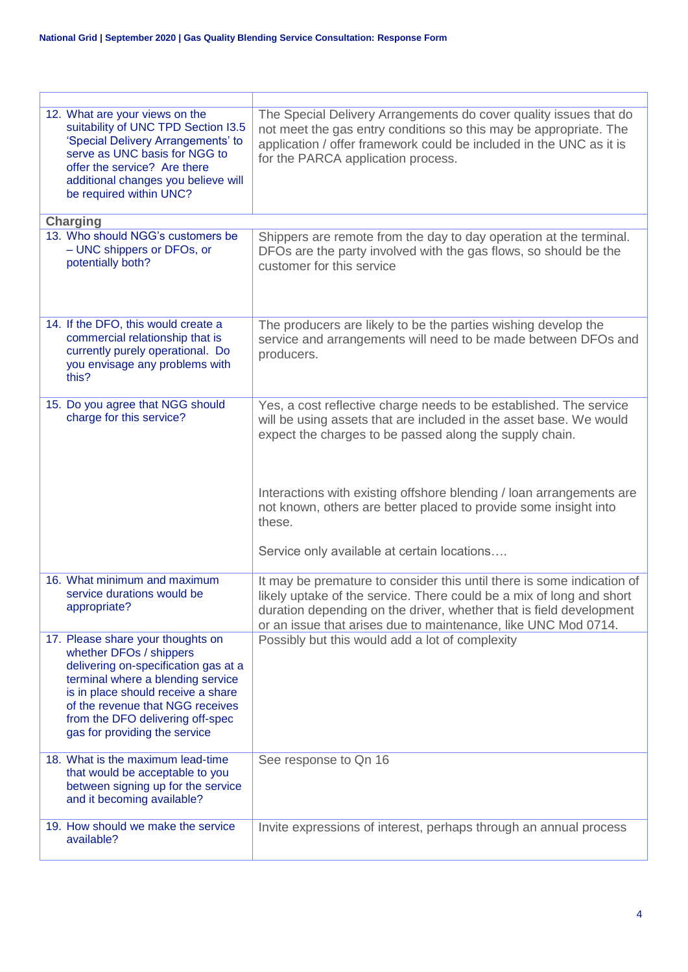| 12. What are your views on the<br>suitability of UNC TPD Section I3.5<br>'Special Delivery Arrangements' to<br>serve as UNC basis for NGG to<br>offer the service? Are there<br>additional changes you believe will<br>be required within UNC?                                           | The Special Delivery Arrangements do cover quality issues that do<br>not meet the gas entry conditions so this may be appropriate. The<br>application / offer framework could be included in the UNC as it is<br>for the PARCA application process.                                                                                                                                                      |
|------------------------------------------------------------------------------------------------------------------------------------------------------------------------------------------------------------------------------------------------------------------------------------------|----------------------------------------------------------------------------------------------------------------------------------------------------------------------------------------------------------------------------------------------------------------------------------------------------------------------------------------------------------------------------------------------------------|
| <b>Charging</b>                                                                                                                                                                                                                                                                          |                                                                                                                                                                                                                                                                                                                                                                                                          |
| 13. Who should NGG's customers be<br>- UNC shippers or DFOs, or<br>potentially both?                                                                                                                                                                                                     | Shippers are remote from the day to day operation at the terminal.<br>DFOs are the party involved with the gas flows, so should be the<br>customer for this service                                                                                                                                                                                                                                      |
| 14. If the DFO, this would create a<br>commercial relationship that is<br>currently purely operational. Do<br>you envisage any problems with<br>this?                                                                                                                                    | The producers are likely to be the parties wishing develop the<br>service and arrangements will need to be made between DFOs and<br>producers.                                                                                                                                                                                                                                                           |
| 15. Do you agree that NGG should<br>charge for this service?                                                                                                                                                                                                                             | Yes, a cost reflective charge needs to be established. The service<br>will be using assets that are included in the asset base. We would<br>expect the charges to be passed along the supply chain.<br>Interactions with existing offshore blending / loan arrangements are<br>not known, others are better placed to provide some insight into<br>these.<br>Service only available at certain locations |
| 16. What minimum and maximum<br>service durations would be<br>appropriate?                                                                                                                                                                                                               | It may be premature to consider this until there is some indication of<br>likely uptake of the service. There could be a mix of long and short<br>duration depending on the driver, whether that is field development<br>or an issue that arises due to maintenance, like UNC Mod 0714.                                                                                                                  |
| 17. Please share your thoughts on<br>whether DFOs / shippers<br>delivering on-specification gas at a<br>terminal where a blending service<br>is in place should receive a share<br>of the revenue that NGG receives<br>from the DFO delivering off-spec<br>gas for providing the service | Possibly but this would add a lot of complexity                                                                                                                                                                                                                                                                                                                                                          |
| 18. What is the maximum lead-time<br>that would be acceptable to you<br>between signing up for the service<br>and it becoming available?                                                                                                                                                 | See response to Qn 16                                                                                                                                                                                                                                                                                                                                                                                    |
| 19. How should we make the service<br>available?                                                                                                                                                                                                                                         | Invite expressions of interest, perhaps through an annual process                                                                                                                                                                                                                                                                                                                                        |